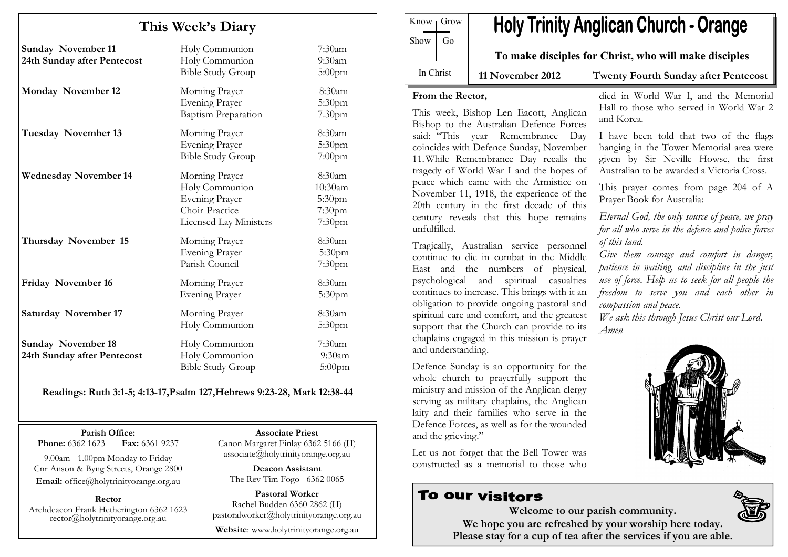# This Week's Diary

| <b>Sunday November 11</b><br>24th Sunday after Pentecost | Holy Communion<br>Holy Communion<br><b>Bible Study Group</b>                                                 | $7:30$ am<br>9:30am<br>$5:00$ pm                |
|----------------------------------------------------------|--------------------------------------------------------------------------------------------------------------|-------------------------------------------------|
| <b>Monday November 12</b>                                | Morning Prayer<br><b>Evening Prayer</b><br><b>Baptism Preparation</b>                                        | 8:30am<br>5:30pm<br>7.30pm                      |
| <b>Tuesday November 13</b>                               | Morning Prayer<br>Evening Prayer<br><b>Bible Study Group</b>                                                 | 8:30am<br>5:30pm<br>$7:00$ pm                   |
| <b>Wednesday November 14</b>                             | Morning Prayer<br>Holy Communion<br><b>Evening Prayer</b><br>Choir Practice<br><b>Licensed Lay Ministers</b> | 8:30am<br>10:30am<br>5:30pm<br>7:30pm<br>7:30pm |
| Thursday November 15                                     | Morning Prayer<br>Evening Prayer<br>Parish Council                                                           | 8:30am<br>5:30pm<br>7:30pm                      |
| Friday November 16                                       | Morning Prayer<br><b>Evening Prayer</b>                                                                      | 8:30am<br>5:30pm                                |
| <b>Saturday November 17</b>                              | Morning Prayer<br>Holy Communion                                                                             | 8:30am<br>5:30pm                                |
| <b>Sunday November 18</b><br>24th Sunday after Pentecost | Holy Communion<br>Holy Communion<br><b>Bible Study Group</b>                                                 | 7:30am<br>$9:30$ am<br>5:00pm                   |

#### Readings: Ruth 3:1-5; 4:13-17,Psalm 127,Hebrews 9:23-28, Mark 12:38-44

Parish Office:

Fax: 6361 9237 **Phone: 6362 1623** 

9.00am - 1.00pm Monday to Friday Cnr Anson & Byng Streets, Orange 2800 Email: office@holytrinityorange.org.au

Rector Archdeacon Frank Hetherington 6362 1623 rector@holytrinityorange.org.au Associate Priest

 Canon Margaret Finlay 6362 5166 (H) associate@holytrinityorange.org.au

Deacon Assistant The Rev Tim Fogo 6362 0065

Pastoral Worker Rachel Budden 6360 2862 (H) pastoralworker@holytrinityorange.org.au

Website: www.holytrinityorange.org.au

|         | Know Grow | <b>Holy Trinity Anglican Church - Orange</b> |
|---------|-----------|----------------------------------------------|
| Show Go |           |                                              |

To make disciples for Christ, who will make disciples

In Christ

11 November 2012 Twenty Fourth Sunday after Pentecost

#### From the Rector,

This week, Bishop Len Eacott, Anglican Bishop to the Australian Defence Forces said: "This year Remembrance Day coincides with Defence Sunday, November 11.While Remembrance Day recalls the tragedy of World War I and the hopes of peace which came with the Armistice on November 11, 1918, the experience of the 20th century in the first decade of this century reveals that this hope remains unfulfilled.

Tragically, Australian service personnel continue to die in combat in the Middle East and the numbers of physical, psychological and spiritual casualties continues to increase. This brings with it an obligation to provide ongoing pastoral and spiritual care and comfort, and the greatest support that the Church can provide to its chaplains engaged in this mission is prayer and understanding.

Defence Sunday is an opportunity for the whole church to prayerfully support the ministry and mission of the Anglican clergy serving as military chaplains, the Anglican laity and their families who serve in the Defence Forces, as well as for the wounded and the grieving."

Let us not forget that the Bell Tower was constructed as a memorial to those who

# To our visitors

died in World War I, and the Memorial Hall to those who served in World War 2 and Korea.

I have been told that two of the flags hanging in the Tower Memorial area were given by Sir Neville Howse, the first Australian to be awarded a Victoria Cross.

This prayer comes from page 204 of A Prayer Book for Australia:

Eternal God, the only source of peace, we pray for all who serve in the defence and police forces of this land.

Give them courage and comfort in danger, patience in waiting, and discipline in the just use of force. Help us to seek for all people the freedom to serve you and each other in compassion and peace.

We ask this through Jesus Christ our Lord. Amen



Welcome to our parish community. We hope you are refreshed by your worship here today. Please stay for a cup of tea after the services if you are able.